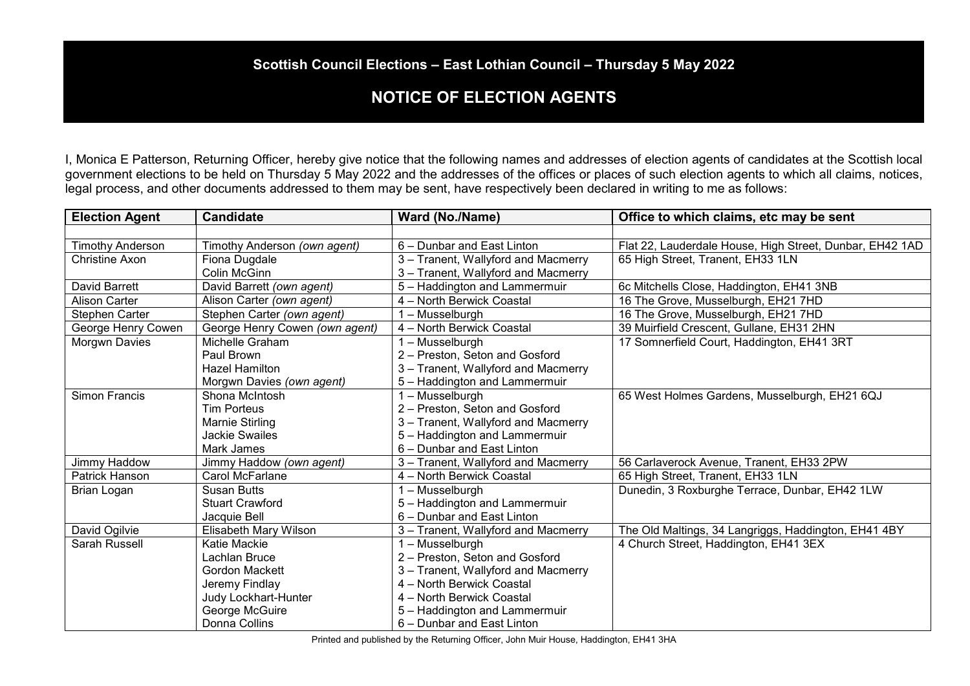## **Scottish Council Elections – East Lothian Council – Thursday 5 May 2022**

## **NOTICE OF ELECTION AGENTS**

I, Monica E Patterson, Returning Officer, hereby give notice that the following names and addresses of election agents of candidates at the Scottish local government elections to be held on Thursday 5 May 2022 and the addresses of the offices or places of such election agents to which all claims, notices, legal process, and other documents addressed to them may be sent, have respectively been declared in writing to me as follows:

| <b>Election Agent</b>   | <b>Candidate</b>               | Ward (No./Name)                     | Office to which claims, etc may be sent                  |
|-------------------------|--------------------------------|-------------------------------------|----------------------------------------------------------|
|                         |                                |                                     |                                                          |
| <b>Timothy Anderson</b> | Timothy Anderson (own agent)   | 6 - Dunbar and East Linton          | Flat 22, Lauderdale House, High Street, Dunbar, EH42 1AD |
| <b>Christine Axon</b>   | Fiona Dugdale                  | 3 - Tranent, Wallyford and Macmerry | 65 High Street, Tranent, EH33 1LN                        |
|                         | Colin McGinn                   | 3 - Tranent, Wallyford and Macmerry |                                                          |
| David Barrett           | David Barrett (own agent)      | 5 - Haddington and Lammermuir       | 6c Mitchells Close, Haddington, EH41 3NB                 |
| <b>Alison Carter</b>    | Alison Carter (own agent)      | 4 - North Berwick Coastal           | 16 The Grove, Musselburgh, EH21 7HD                      |
| Stephen Carter          | Stephen Carter (own agent)     | 1 - Musselburgh                     | 16 The Grove, Musselburgh, EH21 7HD                      |
| George Henry Cowen      | George Henry Cowen (own agent) | 4 - North Berwick Coastal           | 39 Muirfield Crescent, Gullane, EH31 2HN                 |
| Morgwn Davies           | Michelle Graham                | 1 – Musselburgh                     | 17 Somnerfield Court, Haddington, EH41 3RT               |
|                         | Paul Brown                     | 2 - Preston, Seton and Gosford      |                                                          |
|                         | <b>Hazel Hamilton</b>          | 3 - Tranent, Wallyford and Macmerry |                                                          |
|                         | Morgwn Davies (own agent)      | 5 - Haddington and Lammermuir       |                                                          |
| Simon Francis           | Shona McIntosh                 | 1 - Musselburgh                     | 65 West Holmes Gardens, Musselburgh, EH21 6QJ            |
|                         | <b>Tim Porteus</b>             | 2 - Preston, Seton and Gosford      |                                                          |
|                         | Marnie Stirling                | 3 - Tranent, Wallyford and Macmerry |                                                          |
|                         | Jackie Swailes                 | 5 - Haddington and Lammermuir       |                                                          |
|                         | Mark James                     | 6 - Dunbar and East Linton          |                                                          |
| Jimmy Haddow            | Jimmy Haddow (own agent)       | 3 - Tranent, Wallyford and Macmerry | 56 Carlaverock Avenue, Tranent, EH33 2PW                 |
| Patrick Hanson          | Carol McFarlane                | 4 - North Berwick Coastal           | 65 High Street, Tranent, EH33 1LN                        |
| <b>Brian Logan</b>      | <b>Susan Butts</b>             | 1 - Musselburgh                     | Dunedin, 3 Roxburghe Terrace, Dunbar, EH42 1LW           |
|                         | <b>Stuart Crawford</b>         | 5 - Haddington and Lammermuir       |                                                          |
|                         | Jacquie Bell                   | 6 - Dunbar and East Linton          |                                                          |
| David Ogilvie           | Elisabeth Mary Wilson          | 3 - Tranent, Wallyford and Macmerry | The Old Maltings, 34 Langriggs, Haddington, EH41 4BY     |
| Sarah Russell           | Katie Mackie                   | 1 – Musselburgh                     | 4 Church Street, Haddington, EH41 3EX                    |
|                         | Lachlan Bruce                  | 2 - Preston, Seton and Gosford      |                                                          |
|                         | Gordon Mackett                 | 3 - Tranent, Wallyford and Macmerry |                                                          |
|                         | Jeremy Findlay                 | 4 - North Berwick Coastal           |                                                          |
|                         | Judy Lockhart-Hunter           | 4 - North Berwick Coastal           |                                                          |
|                         | George McGuire                 | 5 - Haddington and Lammermuir       |                                                          |
|                         | Donna Collins                  | 6 - Dunbar and East Linton          |                                                          |

Printed and published by the Returning Officer, John Muir House, Haddington, EH41 3HA